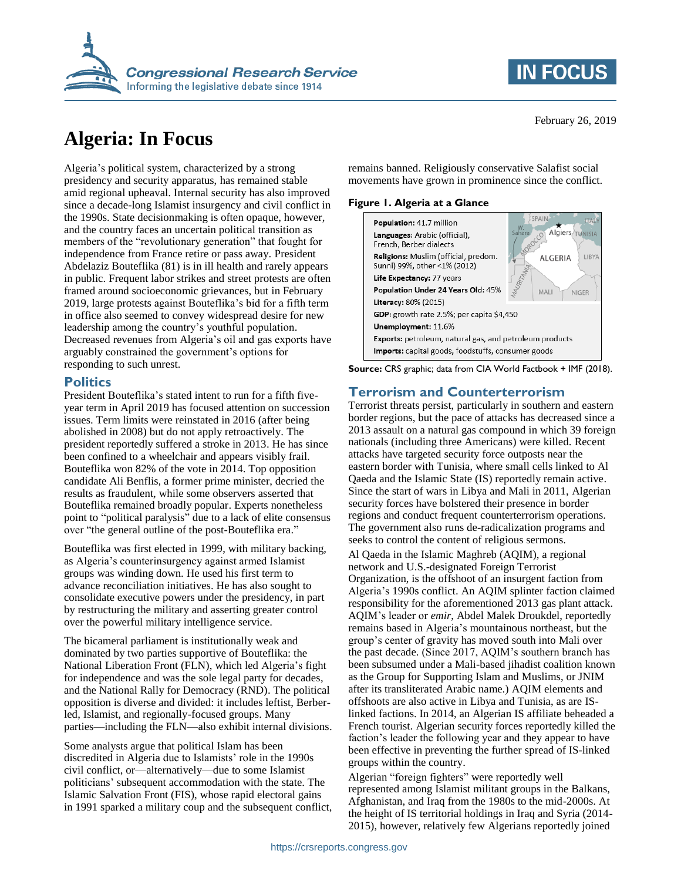

# **Algeria: In Focus**

Algeria's political system, characterized by a strong presidency and security apparatus, has remained stable amid regional upheaval. Internal security has also improved since a decade-long Islamist insurgency and civil conflict in the 1990s. State decisionmaking is often opaque, however, and the country faces an uncertain political transition as members of the "revolutionary generation" that fought for independence from France retire or pass away. President Abdelaziz Bouteflika (81) is in ill health and rarely appears in public. Frequent labor strikes and street protests are often framed around socioeconomic grievances, but in February 2019, large protests against Bouteflika's bid for a fifth term in office also seemed to convey widespread desire for new leadership among the country's youthful population. Decreased revenues from Algeria's oil and gas exports have arguably constrained the government's options for responding to such unrest.

#### **Politics**

President Bouteflika's stated intent to run for a fifth fiveyear term in April 2019 has focused attention on succession issues. Term limits were reinstated in 2016 (after being abolished in 2008) but do not apply retroactively. The president reportedly suffered a stroke in 2013. He has since been confined to a wheelchair and appears visibly frail. Bouteflika won 82% of the vote in 2014. Top opposition candidate Ali Benflis, a former prime minister, decried the results as fraudulent, while some observers asserted that Bouteflika remained broadly popular. Experts nonetheless point to "political paralysis" due to a lack of elite consensus over "the general outline of the post-Bouteflika era."

Bouteflika was first elected in 1999, with military backing, as Algeria's counterinsurgency against armed Islamist groups was winding down. He used his first term to advance reconciliation initiatives. He has also sought to consolidate executive powers under the presidency, in part by restructuring the military and asserting greater control over the powerful military intelligence service.

The bicameral parliament is institutionally weak and dominated by two parties supportive of Bouteflika: the National Liberation Front (FLN), which led Algeria's fight for independence and was the sole legal party for decades, and the National Rally for Democracy (RND). The political opposition is diverse and divided: it includes leftist, Berberled, Islamist, and regionally-focused groups. Many parties—including the FLN—also exhibit internal divisions.

Some analysts argue that political Islam has been discredited in Algeria due to Islamists' role in the 1990s civil conflict, or—alternatively—due to some Islamist politicians' subsequent accommodation with the state. The Islamic Salvation Front (FIS), whose rapid electoral gains in 1991 sparked a military coup and the subsequent conflict, February 26, 2019

**IN FOCUS** 

remains banned. Religiously conservative Salafist social movements have grown in prominence since the conflict.

#### **Figure 1. Algeria at a Glance**



**Source:** CRS graphic; data from CIA World Factbook + IMF (2018).

#### **Terrorism and Counterterrorism**

Terrorist threats persist, particularly in southern and eastern border regions, but the pace of attacks has decreased since a 2013 assault on a natural gas compound in which 39 foreign nationals (including three Americans) were killed. Recent attacks have targeted security force outposts near the eastern border with Tunisia, where small cells linked to Al Qaeda and the Islamic State (IS) reportedly remain active. Since the start of wars in Libya and Mali in 2011, Algerian security forces have bolstered their presence in border regions and conduct frequent counterterrorism operations. The government also runs de-radicalization programs and seeks to control the content of religious sermons.

Al Qaeda in the Islamic Maghreb (AQIM), a regional network and U.S.-designated Foreign Terrorist Organization, is the offshoot of an insurgent faction from Algeria's 1990s conflict. An AQIM splinter faction claimed responsibility for the aforementioned 2013 gas plant attack. AQIM's leader or *emir*, Abdel Malek Droukdel, reportedly remains based in Algeria's mountainous northeast, but the group's center of gravity has moved south into Mali over the past decade. (Since 2017, AQIM's southern branch has been subsumed under a Mali-based jihadist coalition known as the Group for Supporting Islam and Muslims, or JNIM after its transliterated Arabic name.) AQIM elements and offshoots are also active in Libya and Tunisia, as are ISlinked factions. In 2014, an Algerian IS affiliate beheaded a French tourist. Algerian security forces reportedly killed the faction's leader the following year and they appear to have been effective in preventing the further spread of IS-linked groups within the country.

Algerian "foreign fighters" were reportedly well represented among Islamist militant groups in the Balkans, Afghanistan, and Iraq from the 1980s to the mid-2000s. At the height of IS territorial holdings in Iraq and Syria (2014- 2015), however, relatively few Algerians reportedly joined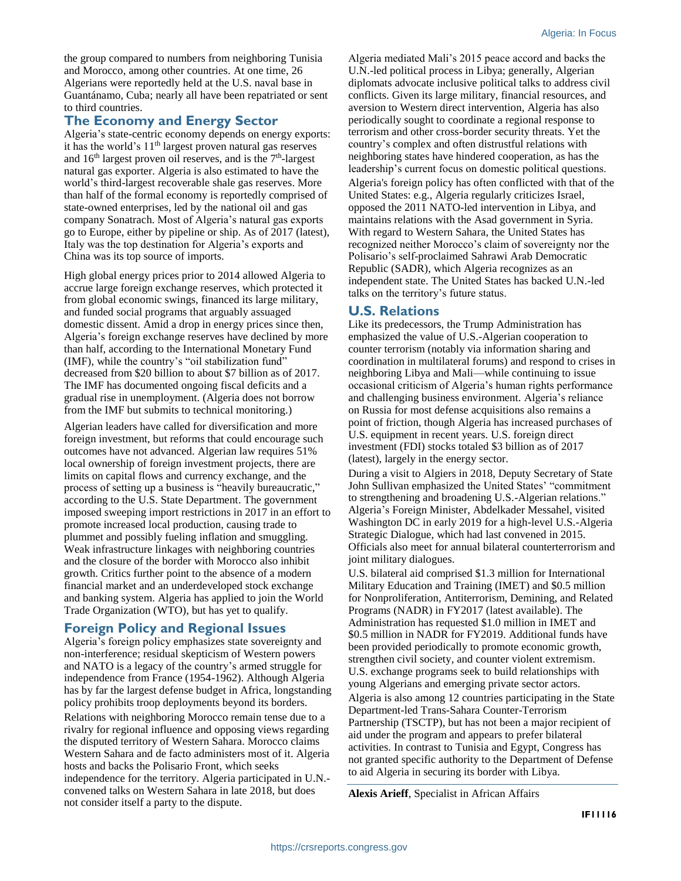the group compared to numbers from neighboring Tunisia and Morocco, among other countries. At one time, 26 Algerians were reportedly held at the U.S. naval base in Guantánamo, Cuba; nearly all have been repatriated or sent to third countries.

#### **The Economy and Energy Sector**

Algeria's state-centric economy depends on energy exports: it has the world's  $11<sup>th</sup>$  largest proven natural gas reserves and  $16<sup>th</sup>$  largest proven oil reserves, and is the  $7<sup>th</sup>$ -largest natural gas exporter. Algeria is also estimated to have the world's third-largest recoverable shale gas reserves. More than half of the formal economy is reportedly comprised of state-owned enterprises, led by the national oil and gas company Sonatrach. Most of Algeria's natural gas exports go to Europe, either by pipeline or ship. As of 2017 (latest), Italy was the top destination for Algeria's exports and China was its top source of imports.

High global energy prices prior to 2014 allowed Algeria to accrue large foreign exchange reserves, which protected it from global economic swings, financed its large military, and funded social programs that arguably assuaged domestic dissent. Amid a drop in energy prices since then, Algeria's foreign exchange reserves have declined by more than half, according to the International Monetary Fund (IMF), while the country's "oil stabilization fund" decreased from \$20 billion to about \$7 billion as of 2017. The IMF has documented ongoing fiscal deficits and a gradual rise in unemployment. (Algeria does not borrow from the IMF but submits to technical monitoring.)

Algerian leaders have called for diversification and more foreign investment, but reforms that could encourage such outcomes have not advanced. Algerian law requires 51% local ownership of foreign investment projects, there are limits on capital flows and currency exchange, and the process of setting up a business is "heavily bureaucratic," according to the U.S. State Department. The government imposed sweeping import restrictions in 2017 in an effort to promote increased local production, causing trade to plummet and possibly fueling inflation and smuggling. Weak infrastructure linkages with neighboring countries and the closure of the border with Morocco also inhibit growth. Critics further point to the absence of a modern financial market and an underdeveloped stock exchange and banking system. Algeria has applied to join the World Trade Organization (WTO), but has yet to qualify.

### **Foreign Policy and Regional Issues**

Algeria's foreign policy emphasizes state sovereignty and non-interference; residual skepticism of Western powers and NATO is a legacy of the country's armed struggle for independence from France (1954-1962). Although Algeria has by far the largest defense budget in Africa, longstanding policy prohibits troop deployments beyond its borders. Relations with neighboring Morocco remain tense due to a rivalry for regional influence and opposing views regarding the disputed territory of Western Sahara. Morocco claims Western Sahara and de facto administers most of it. Algeria hosts and backs the Polisario Front, which seeks independence for the territory. Algeria participated in U.N. convened talks on Western Sahara in late 2018, but does not consider itself a party to the dispute.

Algeria mediated Mali's 2015 peace accord and backs the U.N.-led political process in Libya; generally, Algerian diplomats advocate inclusive political talks to address civil conflicts. Given its large military, financial resources, and aversion to Western direct intervention, Algeria has also periodically sought to coordinate a regional response to terrorism and other cross-border security threats. Yet the country's complex and often distrustful relations with neighboring states have hindered cooperation, as has the leadership's current focus on domestic political questions.

Algeria's foreign policy has often conflicted with that of the United States: e.g., Algeria regularly criticizes Israel, opposed the 2011 NATO-led intervention in Libya, and maintains relations with the Asad government in Syria. With regard to Western Sahara, the United States has recognized neither Morocco's claim of sovereignty nor the Polisario's self-proclaimed Sahrawi Arab Democratic Republic (SADR), which Algeria recognizes as an independent state. The United States has backed U.N.-led talks on the territory's future status.

#### **U.S. Relations**

Like its predecessors, the Trump Administration has emphasized the value of U.S.-Algerian cooperation to counter terrorism (notably via information sharing and coordination in multilateral forums) and respond to crises in neighboring Libya and Mali—while continuing to issue occasional criticism of Algeria's human rights performance and challenging business environment. Algeria's reliance on Russia for most defense acquisitions also remains a point of friction, though Algeria has increased purchases of U.S. equipment in recent years. U.S. foreign direct investment (FDI) stocks totaled \$3 billion as of 2017 (latest), largely in the energy sector.

During a visit to Algiers in 2018, Deputy Secretary of State John Sullivan emphasized the United States' "commitment to strengthening and broadening U.S.-Algerian relations." Algeria's Foreign Minister, Abdelkader Messahel, visited Washington DC in early 2019 for a high-level U.S.-Algeria Strategic Dialogue, which had last convened in 2015. Officials also meet for annual bilateral counterterrorism and joint military dialogues.

U.S. bilateral aid comprised \$1.3 million for International Military Education and Training (IMET) and \$0.5 million for Nonproliferation, Antiterrorism, Demining, and Related Programs (NADR) in FY2017 (latest available). The Administration has requested \$1.0 million in IMET and \$0.5 million in NADR for FY2019. Additional funds have been provided periodically to promote economic growth, strengthen civil society, and counter violent extremism. U.S. exchange programs seek to build relationships with young Algerians and emerging private sector actors. Algeria is also among 12 countries participating in the State Department-led Trans-Sahara Counter-Terrorism Partnership (TSCTP), but has not been a major recipient of aid under the program and appears to prefer bilateral activities. In contrast to Tunisia and Egypt, Congress has not granted specific authority to the Department of Defense to aid Algeria in securing its border with Libya.

**Alexis Arieff**, Specialist in African Affairs